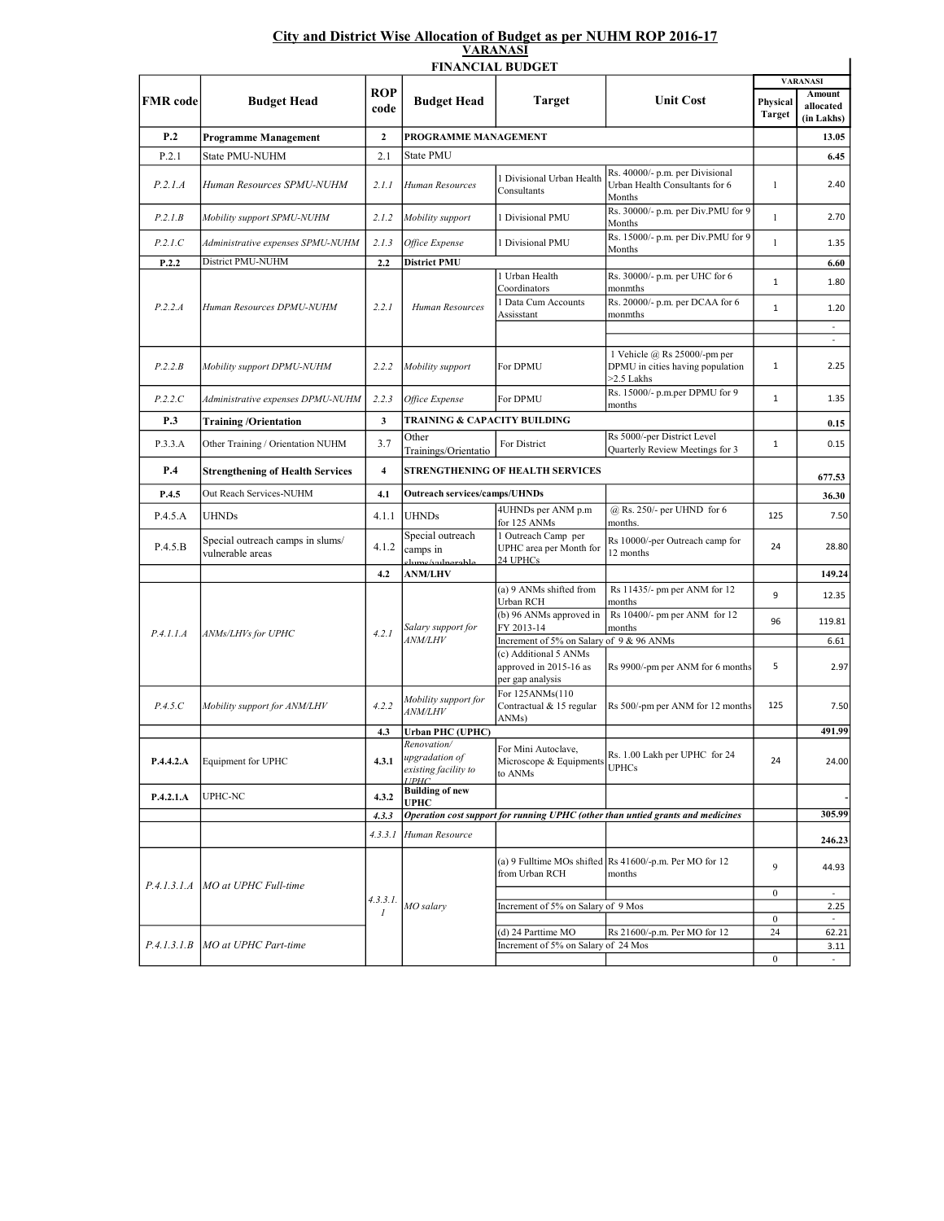## City and District Wise Allocation of Budget as per NUHM ROP 2016-17 VARANASI

| <b>VAINAPADI</b><br><b>FINANCIAL BUDGET</b> |                                           |                           |                                                                               |                                                                     |                                                                                  |                           |                                          |  |  |  |  |  |
|---------------------------------------------|-------------------------------------------|---------------------------|-------------------------------------------------------------------------------|---------------------------------------------------------------------|----------------------------------------------------------------------------------|---------------------------|------------------------------------------|--|--|--|--|--|
|                                             |                                           |                           |                                                                               |                                                                     |                                                                                  |                           | <b>VARANASI</b>                          |  |  |  |  |  |
| <b>FMR</b> code                             | <b>Budget Head</b>                        | ROP<br>code               | <b>Budget Head</b>                                                            | <b>Target</b>                                                       | <b>Unit Cost</b>                                                                 | Physical<br><b>Target</b> | <b>Amount</b><br>allocated<br>(in Lakhs) |  |  |  |  |  |
| P <sub>.2</sub>                             | Programme Management                      | $\mathbf{2}$              | PROGRAMME MANAGEMENT                                                          |                                                                     |                                                                                  |                           | 13.05                                    |  |  |  |  |  |
| P.2.1                                       | State PMU-NUHM                            | 2.1                       | State PMU                                                                     |                                                                     |                                                                                  |                           | 6.45                                     |  |  |  |  |  |
| P.2.1.A                                     | Human Resources SPMU-NUHM                 | 2.1.1                     | Human Resources                                                               | 1 Divisional Urban Health<br>Consultants                            | Rs. 40000/- p.m. per Divisional<br>Urban Health Consultants for 6<br>Months      | $\mathbf{1}$              | 2.40                                     |  |  |  |  |  |
| P.2.1.B                                     | Mobility support SPMU-NUHM                | 2.1.2                     | Mobility support                                                              | 1 Divisional PMU                                                    | Rs. 30000/- p.m. per Div.PMU for 9<br>Months                                     | $\mathbf{1}$              | 2.70                                     |  |  |  |  |  |
| P.2.1.C                                     | Administrative expenses SPMU-NUHM         | 2.1.3                     | Office Expense                                                                | 1 Divisional PMU                                                    | Rs. 15000/- p.m. per Div.PMU for 9<br>Months                                     | $\mathbf{1}$              | 1.35                                     |  |  |  |  |  |
| P.2.2                                       | District PMU-NUHM                         | 2.2                       | <b>District PMU</b>                                                           |                                                                     |                                                                                  |                           | 6.60                                     |  |  |  |  |  |
|                                             |                                           |                           |                                                                               | 1 Urban Health                                                      | Rs. 30000/- p.m. per UHC for 6                                                   | $\mathbf 1$               | 1.80                                     |  |  |  |  |  |
| P.2.2.A                                     | Human Resources DPMU-NUHM                 | 2.2.1                     | Human Resources                                                               | Coordinators<br>Data Cum Accounts<br>Assisstant                     | monmths<br>Rs. 20000/- p.m. per DCAA for 6<br>monmths                            | $\mathbf{1}$              | 1.20                                     |  |  |  |  |  |
|                                             |                                           |                           |                                                                               |                                                                     |                                                                                  |                           | ä,                                       |  |  |  |  |  |
| P.2.2.B                                     | Mobility support DPMU-NUHM                | 2.2.2                     | Mobility support                                                              | For DPMU                                                            | 1 Vehicle @ Rs 25000/-pm per<br>DPMU in cities having population<br>$>2.5$ Lakhs | $\mathbf{1}$              | ä,<br>2.25                               |  |  |  |  |  |
| P.2.2.C                                     | Administrative expenses DPMU-NUHM         | 2.2.3                     | Office Expense                                                                | For DPMU                                                            | Rs. 15000/- p.m.per DPMU for 9<br>months                                         | $\mathbf{1}$              | 1.35                                     |  |  |  |  |  |
| P.3                                         | <b>Training/Orientation</b>               | 3                         | TRAINING & CAPACITY BUILDING                                                  |                                                                     |                                                                                  |                           | 0.15                                     |  |  |  |  |  |
| P.3.3.A                                     | Other Training / Orientation NUHM         | 3.7                       | Other<br>Trainings/Orientatio                                                 | For District                                                        | Rs 5000/-per District Level<br>Quarterly Review Meetings for 3                   | $\mathbf 1$               | 0.15                                     |  |  |  |  |  |
| P.4                                         | <b>Strengthening of Health Services</b>   | $\overline{4}$            | STRENGTHENING OF HEALTH SERVICES                                              |                                                                     | 677.53                                                                           |                           |                                          |  |  |  |  |  |
| P.4.5                                       | Out Reach Services-NUHM                   | 4.1                       | <b>Outreach services/camps/UHNDs</b>                                          |                                                                     |                                                                                  |                           | 36.30                                    |  |  |  |  |  |
|                                             |                                           |                           |                                                                               | 4UHNDs per ANM p.m                                                  | @ Rs. 250/- per UHND for 6                                                       |                           |                                          |  |  |  |  |  |
| P.4.5.A<br>P.4.5.B                          | UHNDs<br>Special outreach camps in slums/ | 4.1.1                     | <b>UHNDs</b><br>Special outreach                                              | for 125 ANMs<br>1 Outreach Camp per                                 | months.<br>Rs 10000/-per Outreach camp for                                       | 125<br>24                 | 7.50                                     |  |  |  |  |  |
|                                             | vulnerable areas                          | 4.1.2                     | camps in<br>clume/vulnerable.                                                 | UPHC area per Month for<br>24 UPHCs                                 | 12 months                                                                        |                           | 28.80                                    |  |  |  |  |  |
|                                             |                                           | 4.2                       | <b>ANM/LHV</b>                                                                |                                                                     |                                                                                  |                           | 149.24                                   |  |  |  |  |  |
|                                             | ANMs/LHVs for UPHC                        | 4.2.1                     | Salary support for<br><b>ANM/LHV</b>                                          | (a) 9 ANMs shifted from<br>Urban RCH                                | Rs 11435/- pm per ANM for 12<br>months                                           | 9                         | 12.35                                    |  |  |  |  |  |
| P.4.1.1.A                                   |                                           |                           |                                                                               | (b) 96 ANMs approved in<br>FY 2013-14                               | Rs 10400/- pm per ANM for 12<br>months                                           | 96                        | 119.81                                   |  |  |  |  |  |
|                                             |                                           |                           |                                                                               | Increment of 5% on Salary of 9 & 96 ANMs                            |                                                                                  |                           | 6.61                                     |  |  |  |  |  |
|                                             |                                           |                           |                                                                               | (c) Additional 5 ANMs<br>approved in 2015-16 as<br>per gap analysis | Rs 9900/-pm per ANM for 6 months                                                 | 5                         | 2.97                                     |  |  |  |  |  |
| P.4.5.C                                     | Mobility support for ANM/LHV              | 4.2.2                     | Mobility support for<br><b>ANM/LHV</b>                                        | For 125ANMs(110<br>Contractual & 15 regular<br>ANMs)                | Rs 500/-pm per ANM for 12 months                                                 | 125                       | 7.50                                     |  |  |  |  |  |
|                                             |                                           | 4.3                       | <b>Urban PHC (UPHC)</b>                                                       |                                                                     |                                                                                  |                           | 491.99                                   |  |  |  |  |  |
| P.4.4.2.A                                   | Equipment for UPHC                        | 4.3.1                     | <i>Renovation</i> /<br>upgradation of<br>existing facility to<br><b>TIPHC</b> | For Mini Autoclave,<br>Microscope & Equipments<br>to ANMs           | Rs. 1.00 Lakh per UPHC for 24<br><b>UPHCs</b>                                    | 24                        | 24.00                                    |  |  |  |  |  |
| P.4.2.1.A                                   | UPHC-NC                                   | 4.3.2                     | <b>Building of new</b><br><b>UPHC</b>                                         |                                                                     |                                                                                  |                           |                                          |  |  |  |  |  |
|                                             |                                           | 4.3.3                     |                                                                               |                                                                     | Operation cost support for running UPHC (other than untied grants and medicines  |                           | 305.99                                   |  |  |  |  |  |
|                                             |                                           | 4.3.3.1                   | Human Resource                                                                |                                                                     |                                                                                  |                           | 246.23                                   |  |  |  |  |  |
| P.4.1.3.1.A                                 | MO at UPHC Full-time                      | 4.3.3.1.<br>$\mathcal{I}$ | MO salary                                                                     | from Urban RCH                                                      | (a) 9 Fulltime MOs shifted Rs 41600/-p.m. Per MO for 12<br>months                | 9                         | 44.93                                    |  |  |  |  |  |
|                                             |                                           |                           |                                                                               |                                                                     |                                                                                  | $\boldsymbol{0}$          |                                          |  |  |  |  |  |
|                                             |                                           |                           |                                                                               | Increment of 5% on Salary of 9 Mos                                  |                                                                                  |                           | 2.25                                     |  |  |  |  |  |
|                                             |                                           |                           |                                                                               | (d) 24 Parttime MO                                                  | Rs 21600/-p.m. Per MO for 12                                                     | $\boldsymbol{0}$<br>24    | $\omega$<br>62.21                        |  |  |  |  |  |
| P.4.1.3.1.B                                 | MO at UPHC Part-time                      |                           |                                                                               | Increment of 5% on Salary of 24 Mos                                 |                                                                                  |                           | 3.11                                     |  |  |  |  |  |
|                                             |                                           |                           |                                                                               |                                                                     |                                                                                  | $\boldsymbol{0}$          |                                          |  |  |  |  |  |